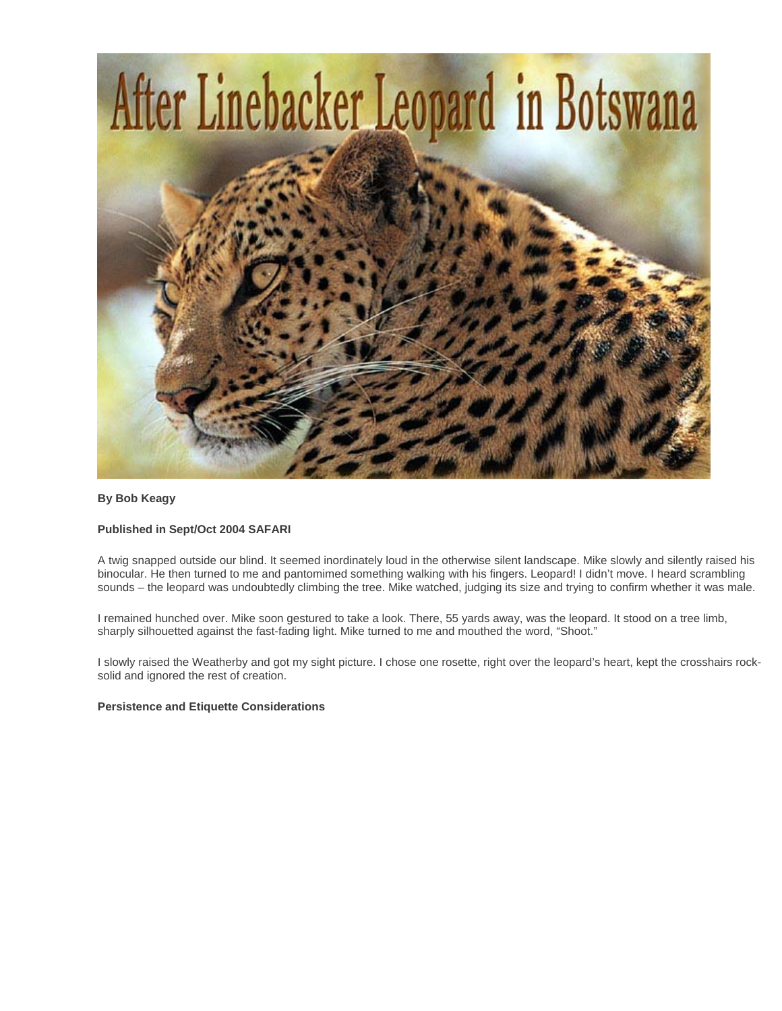

# **By Bob Keagy**

# **Published in Sept/Oct 2004 SAFARI**

A twig snapped outside our blind. It seemed inordinately loud in the otherwise silent landscape. Mike slowly and silently raised his binocular. He then turned to me and pantomimed something walking with his fingers. Leopard! I didn't move. I heard scrambling sounds – the leopard was undoubtedly climbing the tree. Mike watched, judging its size and trying to confirm whether it was male.

I remained hunched over. Mike soon gestured to take a look. There, 55 yards away, was the leopard. It stood on a tree limb, sharply silhouetted against the fast-fading light. Mike turned to me and mouthed the word, "Shoot."

I slowly raised the Weatherby and got my sight picture. I chose one rosette, right over the leopard's heart, kept the crosshairs rocksolid and ignored the rest of creation.

### **Persistence and Etiquette Considerations**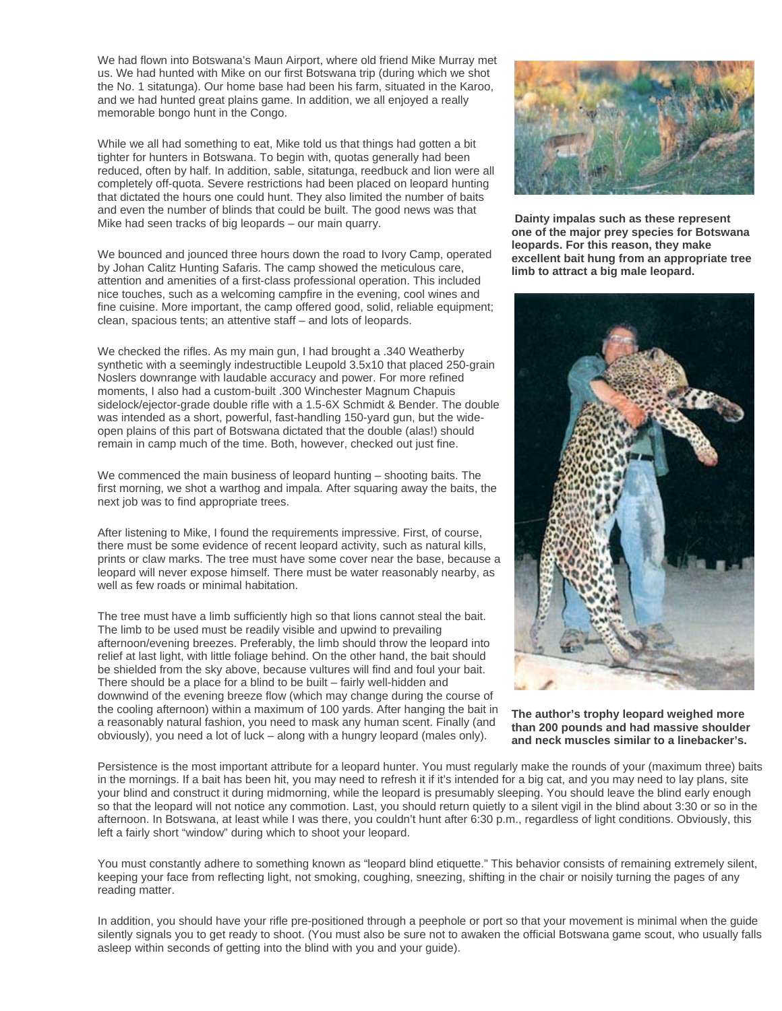We had flown into Botswana's Maun Airport, where old friend Mike Murray met us. We had hunted with Mike on our first Botswana trip (during which we shot the No. 1 sitatunga). Our home base had been his farm, situated in the Karoo, and we had hunted great plains game. In addition, we all enjoyed a really memorable bongo hunt in the Congo.

While we all had something to eat, Mike told us that things had gotten a bit tighter for hunters in Botswana. To begin with, quotas generally had been reduced, often by half. In addition, sable, sitatunga, reedbuck and lion were all completely off-quota. Severe restrictions had been placed on leopard hunting that dictated the hours one could hunt. They also limited the number of baits and even the number of blinds that could be built. The good news was that Mike had seen tracks of big leopards – our main quarry.

We bounced and jounced three hours down the road to Ivory Camp, operated by Johan Calitz Hunting Safaris. The camp showed the meticulous care, attention and amenities of a first-class professional operation. This included nice touches, such as a welcoming campfire in the evening, cool wines and fine cuisine. More important, the camp offered good, solid, reliable equipment; clean, spacious tents; an attentive staff – and lots of leopards.

We checked the rifles. As my main gun, I had brought a .340 Weatherby synthetic with a seemingly indestructible Leupold 3.5x10 that placed 250-grain Noslers downrange with laudable accuracy and power. For more refined moments, I also had a custom-built .300 Winchester Magnum Chapuis sidelock/ejector-grade double rifle with a 1.5-6X Schmidt & Bender. The double was intended as a short, powerful, fast-handling 150-yard gun, but the wideopen plains of this part of Botswana dictated that the double (alas!) should remain in camp much of the time. Both, however, checked out just fine.

We commenced the main business of leopard hunting – shooting baits. The first morning, we shot a warthog and impala. After squaring away the baits, the next job was to find appropriate trees.

After listening to Mike, I found the requirements impressive. First, of course, there must be some evidence of recent leopard activity, such as natural kills, prints or claw marks. The tree must have some cover near the base, because a leopard will never expose himself. There must be water reasonably nearby, as well as few roads or minimal habitation.

The tree must have a limb sufficiently high so that lions cannot steal the bait. The limb to be used must be readily visible and upwind to prevailing afternoon/evening breezes. Preferably, the limb should throw the leopard into relief at last light, with little foliage behind. On the other hand, the bait should be shielded from the sky above, because vultures will find and foul your bait. There should be a place for a blind to be built – fairly well-hidden and downwind of the evening breeze flow (which may change during the course of the cooling afternoon) within a maximum of 100 yards. After hanging the bait in a reasonably natural fashion, you need to mask any human scent. Finally (and obviously), you need a lot of luck – along with a hungry leopard (males only).



**Dainty impalas such as these represent one of the major prey species for Botswana leopards. For this reason, they make excellent bait hung from an appropriate tree limb to attract a big male leopard.**



#### **The author's trophy leopard weighed more than 200 pounds and had massive shoulder and neck muscles similar to a linebacker's.**

Persistence is the most important attribute for a leopard hunter. You must regularly make the rounds of your (maximum three) baits in the mornings. If a bait has been hit, you may need to refresh it if it's intended for a big cat, and you may need to lay plans, site your blind and construct it during midmorning, while the leopard is presumably sleeping. You should leave the blind early enough so that the leopard will not notice any commotion. Last, you should return quietly to a silent vigil in the blind about 3:30 or so in the afternoon. In Botswana, at least while I was there, you couldn't hunt after 6:30 p.m., regardless of light conditions. Obviously, this left a fairly short "window" during which to shoot your leopard.

You must constantly adhere to something known as "leopard blind etiquette." This behavior consists of remaining extremely silent, keeping your face from reflecting light, not smoking, coughing, sneezing, shifting in the chair or noisily turning the pages of any reading matter.

In addition, you should have your rifle pre-positioned through a peephole or port so that your movement is minimal when the guide silently signals you to get ready to shoot. (You must also be sure not to awaken the official Botswana game scout, who usually falls asleep within seconds of getting into the blind with you and your guide).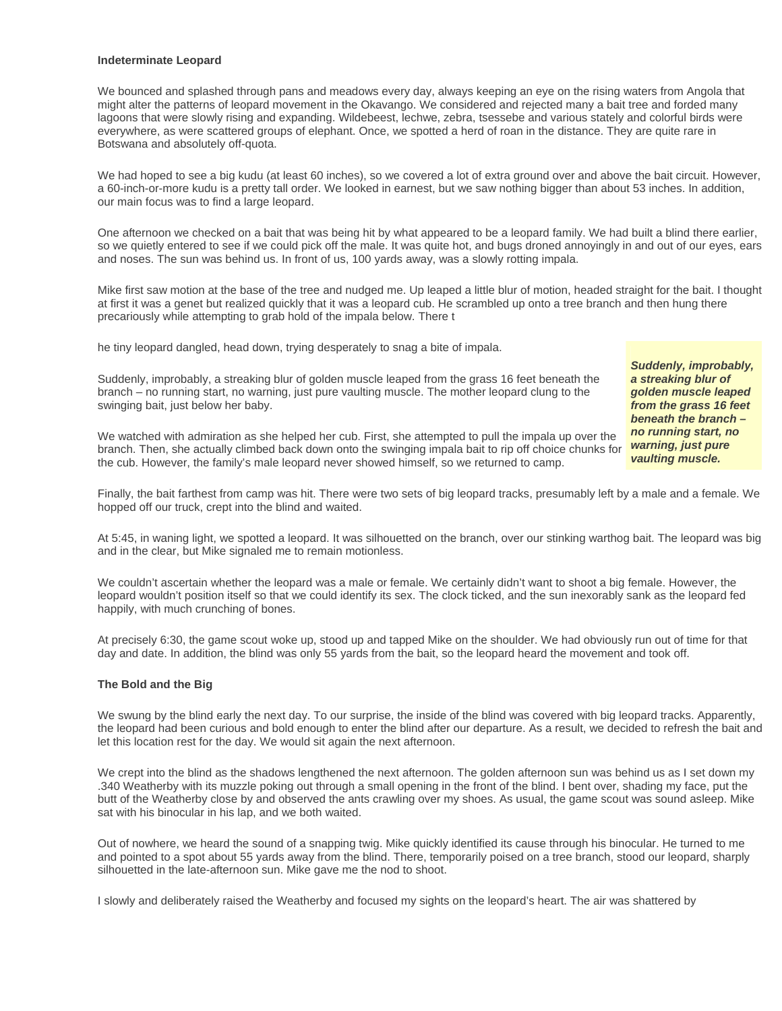### **Indeterminate Leopard**

We bounced and splashed through pans and meadows every day, always keeping an eye on the rising waters from Angola that might alter the patterns of leopard movement in the Okavango. We considered and rejected many a bait tree and forded many lagoons that were slowly rising and expanding. Wildebeest, lechwe, zebra, tsessebe and various stately and colorful birds were everywhere, as were scattered groups of elephant. Once, we spotted a herd of roan in the distance. They are quite rare in Botswana and absolutely off-quota.

We had hoped to see a big kudu (at least 60 inches), so we covered a lot of extra ground over and above the bait circuit. However, a 60-inch-or-more kudu is a pretty tall order. We looked in earnest, but we saw nothing bigger than about 53 inches. In addition, our main focus was to find a large leopard.

One afternoon we checked on a bait that was being hit by what appeared to be a leopard family. We had built a blind there earlier, so we quietly entered to see if we could pick off the male. It was quite hot, and bugs droned annoyingly in and out of our eyes, ears and noses. The sun was behind us. In front of us, 100 yards away, was a slowly rotting impala.

Mike first saw motion at the base of the tree and nudged me. Up leaped a little blur of motion, headed straight for the bait. I thought at first it was a genet but realized quickly that it was a leopard cub. He scrambled up onto a tree branch and then hung there precariously while attempting to grab hold of the impala below. There t

he tiny leopard dangled, head down, trying desperately to snag a bite of impala.

*Suddenly, improbably, a streaking blur of golden muscle leaped from the grass 16 feet beneath the branch – no running start, no warning, just pure vaulting muscle.*

branch – no running start, no warning, just pure vaulting muscle. The mother leopard clung to the swinging bait, just below her baby.

Suddenly, improbably, a streaking blur of golden muscle leaped from the grass 16 feet beneath the

We watched with admiration as she helped her cub. First, she attempted to pull the impala up over the branch. Then, she actually climbed back down onto the swinging impala bait to rip off choice chunks for the cub. However, the family's male leopard never showed himself, so we returned to camp.

Finally, the bait farthest from camp was hit. There were two sets of big leopard tracks, presumably left by a male and a female. We hopped off our truck, crept into the blind and waited.

At 5:45, in waning light, we spotted a leopard. It was silhouetted on the branch, over our stinking warthog bait. The leopard was big and in the clear, but Mike signaled me to remain motionless.

We couldn't ascertain whether the leopard was a male or female. We certainly didn't want to shoot a big female. However, the leopard wouldn't position itself so that we could identify its sex. The clock ticked, and the sun inexorably sank as the leopard fed happily, with much crunching of bones.

At precisely 6:30, the game scout woke up, stood up and tapped Mike on the shoulder. We had obviously run out of time for that day and date. In addition, the blind was only 55 yards from the bait, so the leopard heard the movement and took off.

# **The Bold and the Big**

We swung by the blind early the next day. To our surprise, the inside of the blind was covered with big leopard tracks. Apparently, the leopard had been curious and bold enough to enter the blind after our departure. As a result, we decided to refresh the bait and let this location rest for the day. We would sit again the next afternoon.

We crept into the blind as the shadows lengthened the next afternoon. The golden afternoon sun was behind us as I set down my .340 Weatherby with its muzzle poking out through a small opening in the front of the blind. I bent over, shading my face, put the butt of the Weatherby close by and observed the ants crawling over my shoes. As usual, the game scout was sound asleep. Mike sat with his binocular in his lap, and we both waited.

Out of nowhere, we heard the sound of a snapping twig. Mike quickly identified its cause through his binocular. He turned to me and pointed to a spot about 55 yards away from the blind. There, temporarily poised on a tree branch, stood our leopard, sharply silhouetted in the late-afternoon sun. Mike gave me the nod to shoot.

I slowly and deliberately raised the Weatherby and focused my sights on the leopard's heart. The air was shattered by